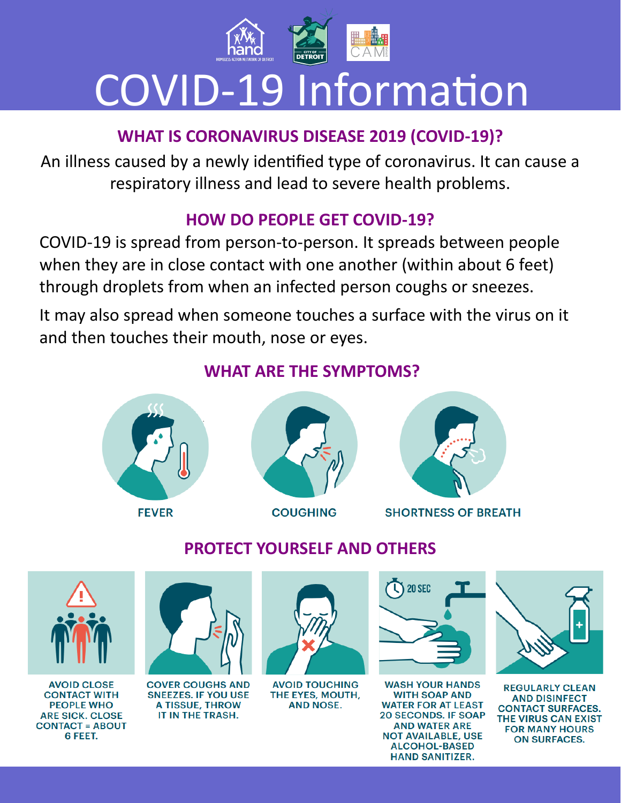

# COVID-19 Information

# **WHAT IS CORONAVIRUS DISEASE 2019 (COVID-19)?**

An illness caused by a newly identified type of coronavirus. It can cause a respiratory illness and lead to severe health problems.

#### **HOW DO PEOPLE GET COVID-19?**

COVID-19 is spread from person-to-person. It spreads between people when they are in close contact with one another (within about 6 feet) through droplets from when an infected person coughs or sneezes.

It may also spread when someone touches a surface with the virus on it and then touches their mouth, nose or eyes.

#### **WHAT ARE THE SYMPTOMS?**



**FEVER** 



**COUGHING** 



**SHORTNESS OF BREATH** 



**AVOID CLOSE CONTACT WITH PEOPLE WHO ARE SICK. CLOSE CONTACT = ABOUT** 6 FEET.

# **PROTECT YOURSELF AND OTHERS**



**COVER COUGHS AND SNEEZES. IF YOU USE A TISSUE, THROW** IT IN THE TRASH.



**AVOID TOUCHING** THE EYES, MOUTH, **AND NOSE.** 



**WASH YOUR HANDS WITH SOAP AND WATER FOR AT LEAST 20 SECONDS. IF SOAP AND WATER ARE NOT AVAILABLE, USE ALCOHOL-BASED HAND SANITIZER.** 



**REGULARLY CLEAN AND DISINFECT CONTACT SURFACES.** THE VIRUS CAN EXIST **FOR MANY HOURS ON SURFACES.**